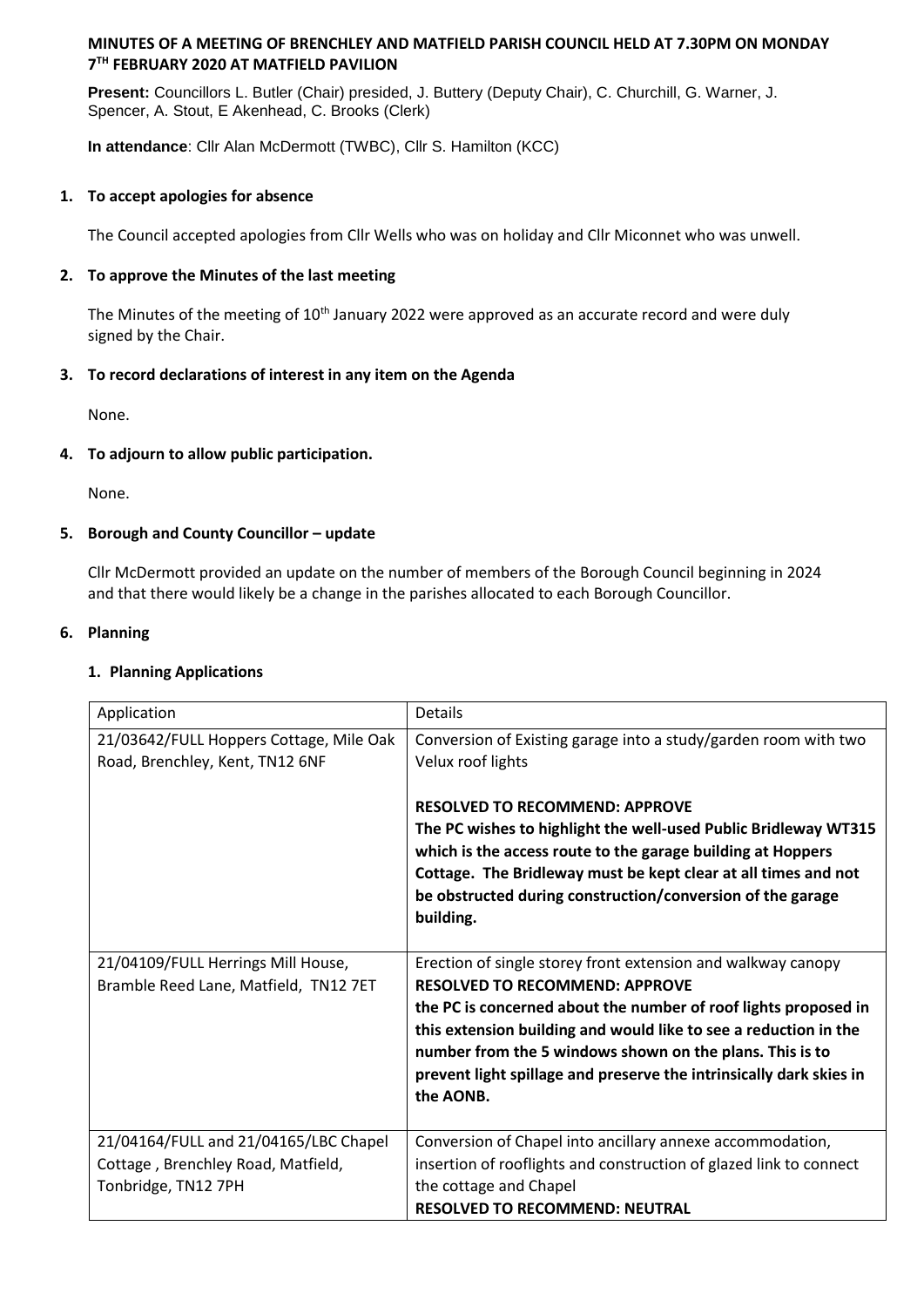# **MINUTES OF A MEETING OF BRENCHLEY AND MATFIELD PARISH COUNCIL HELD AT 7.30PM ON MONDAY 7 TH FEBRUARY 2020 AT MATFIELD PAVILION**

**Present:** Councillors L. Butler (Chair) presided, J. Buttery (Deputy Chair), C. Churchill, G. Warner, J. Spencer, A. Stout, E Akenhead, C. Brooks (Clerk)

**In attendance**: Cllr Alan McDermott (TWBC), Cllr S. Hamilton (KCC)

#### **1. To accept apologies for absence**

The Council accepted apologies from Cllr Wells who was on holiday and Cllr Miconnet who was unwell.

## **2. To approve the Minutes of the last meeting**

The Minutes of the meeting of 10<sup>th</sup> January 2022 were approved as an accurate record and were duly signed by the Chair.

# **3. To record declarations of interest in any item on the Agenda**

None.

# **4. To adjourn to allow public participation.**

None.

### **5. Borough and County Councillor – update**

Cllr McDermott provided an update on the number of members of the Borough Council beginning in 2024 and that there would likely be a change in the parishes allocated to each Borough Councillor.

### **6. Planning**

#### **1. Planning Applications**

| Application                                                                                        | <b>Details</b>                                                                                                                                                                                                                                                                                                                                                                               |
|----------------------------------------------------------------------------------------------------|----------------------------------------------------------------------------------------------------------------------------------------------------------------------------------------------------------------------------------------------------------------------------------------------------------------------------------------------------------------------------------------------|
| 21/03642/FULL Hoppers Cottage, Mile Oak<br>Road, Brenchley, Kent, TN12 6NF                         | Conversion of Existing garage into a study/garden room with two<br>Velux roof lights                                                                                                                                                                                                                                                                                                         |
|                                                                                                    | <b>RESOLVED TO RECOMMEND: APPROVE</b><br>The PC wishes to highlight the well-used Public Bridleway WT315<br>which is the access route to the garage building at Hoppers<br>Cottage. The Bridleway must be kept clear at all times and not<br>be obstructed during construction/conversion of the garage<br>building.                                                                         |
| 21/04109/FULL Herrings Mill House,<br>Bramble Reed Lane, Matfield, TN12 7ET                        | Erection of single storey front extension and walkway canopy<br><b>RESOLVED TO RECOMMEND: APPROVE</b><br>the PC is concerned about the number of roof lights proposed in<br>this extension building and would like to see a reduction in the<br>number from the 5 windows shown on the plans. This is to<br>prevent light spillage and preserve the intrinsically dark skies in<br>the AONB. |
| 21/04164/FULL and 21/04165/LBC Chapel<br>Cottage, Brenchley Road, Matfield,<br>Tonbridge, TN12 7PH | Conversion of Chapel into ancillary annexe accommodation,<br>insertion of rooflights and construction of glazed link to connect<br>the cottage and Chapel<br><b>RESOLVED TO RECOMMEND: NEUTRAL</b>                                                                                                                                                                                           |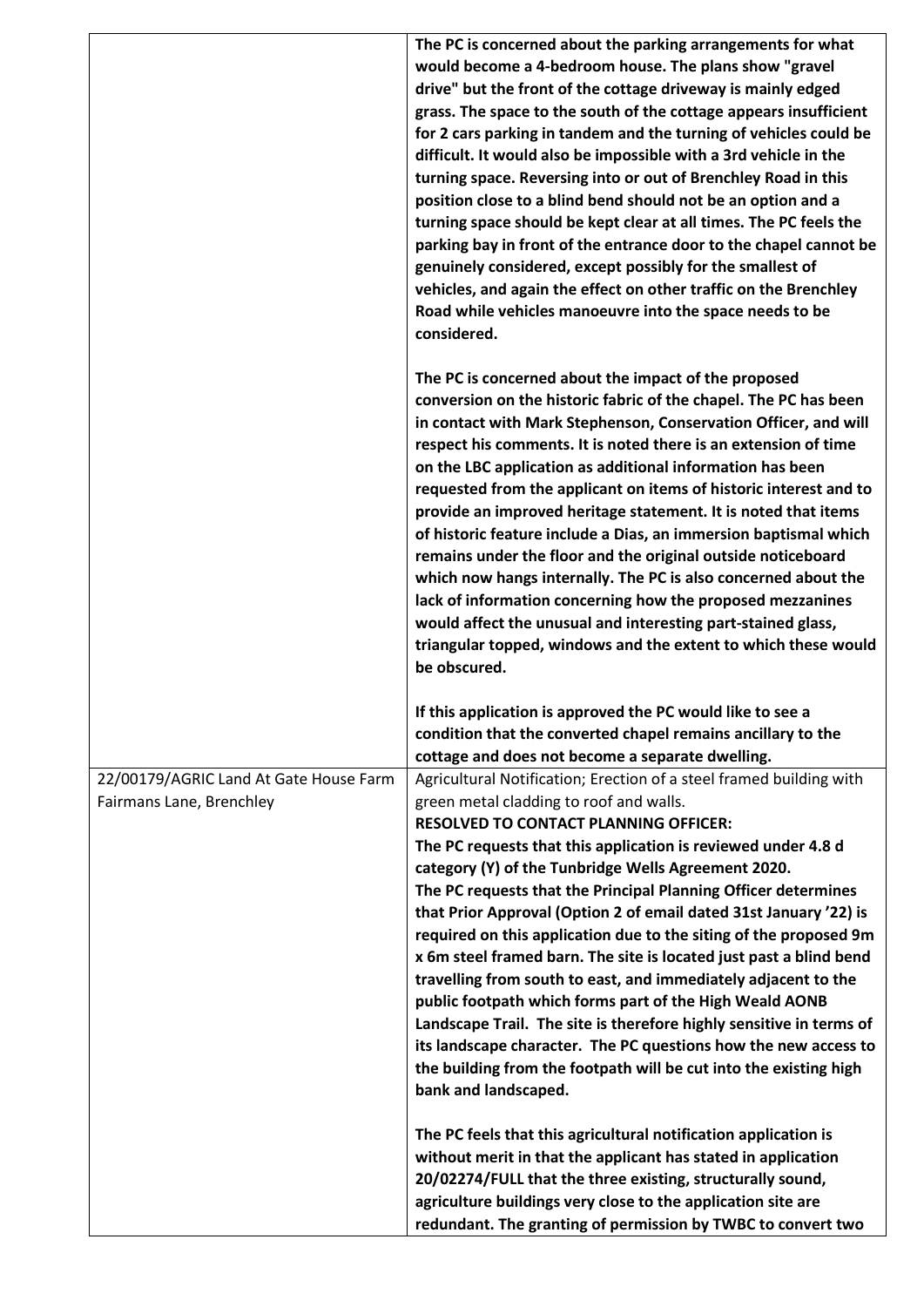|                                        | The PC is concerned about the parking arrangements for what                                                                  |
|----------------------------------------|------------------------------------------------------------------------------------------------------------------------------|
|                                        | would become a 4-bedroom house. The plans show "gravel                                                                       |
|                                        | drive" but the front of the cottage driveway is mainly edged                                                                 |
|                                        | grass. The space to the south of the cottage appears insufficient                                                            |
|                                        | for 2 cars parking in tandem and the turning of vehicles could be                                                            |
|                                        | difficult. It would also be impossible with a 3rd vehicle in the                                                             |
|                                        | turning space. Reversing into or out of Brenchley Road in this                                                               |
|                                        | position close to a blind bend should not be an option and a                                                                 |
|                                        |                                                                                                                              |
|                                        | turning space should be kept clear at all times. The PC feels the                                                            |
|                                        | parking bay in front of the entrance door to the chapel cannot be                                                            |
|                                        | genuinely considered, except possibly for the smallest of                                                                    |
|                                        | vehicles, and again the effect on other traffic on the Brenchley                                                             |
|                                        | Road while vehicles manoeuvre into the space needs to be                                                                     |
|                                        | considered.                                                                                                                  |
|                                        |                                                                                                                              |
|                                        | The PC is concerned about the impact of the proposed                                                                         |
|                                        | conversion on the historic fabric of the chapel. The PC has been                                                             |
|                                        | in contact with Mark Stephenson, Conservation Officer, and will                                                              |
|                                        | respect his comments. It is noted there is an extension of time                                                              |
|                                        | on the LBC application as additional information has been                                                                    |
|                                        | requested from the applicant on items of historic interest and to                                                            |
|                                        | provide an improved heritage statement. It is noted that items                                                               |
|                                        | of historic feature include a Dias, an immersion baptismal which                                                             |
|                                        | remains under the floor and the original outside noticeboard                                                                 |
|                                        | which now hangs internally. The PC is also concerned about the                                                               |
|                                        | lack of information concerning how the proposed mezzanines                                                                   |
|                                        | would affect the unusual and interesting part-stained glass,                                                                 |
|                                        |                                                                                                                              |
|                                        | triangular topped, windows and the extent to which these would                                                               |
|                                        | be obscured.                                                                                                                 |
|                                        |                                                                                                                              |
|                                        | If this application is approved the PC would like to see a                                                                   |
|                                        | condition that the converted chapel remains ancillary to the                                                                 |
|                                        | cottage and does not become a separate dwelling.                                                                             |
| 22/00179/AGRIC Land At Gate House Farm | Agricultural Notification; Erection of a steel framed building with                                                          |
| Fairmans Lane, Brenchley               | green metal cladding to roof and walls.                                                                                      |
|                                        | <b>RESOLVED TO CONTACT PLANNING OFFICER:</b>                                                                                 |
|                                        | The PC requests that this application is reviewed under 4.8 d                                                                |
|                                        | category (Y) of the Tunbridge Wells Agreement 2020.                                                                          |
|                                        | The PC requests that the Principal Planning Officer determines                                                               |
|                                        | that Prior Approval (Option 2 of email dated 31st January '22) is                                                            |
|                                        | required on this application due to the siting of the proposed 9m                                                            |
|                                        | x 6m steel framed barn. The site is located just past a blind bend                                                           |
|                                        | travelling from south to east, and immediately adjacent to the                                                               |
|                                        | public footpath which forms part of the High Weald AONB                                                                      |
|                                        | Landscape Trail. The site is therefore highly sensitive in terms of                                                          |
|                                        | its landscape character. The PC questions how the new access to                                                              |
|                                        | the building from the footpath will be cut into the existing high                                                            |
|                                        | bank and landscaped.                                                                                                         |
|                                        |                                                                                                                              |
|                                        | The PC feels that this agricultural notification application is                                                              |
|                                        | without merit in that the applicant has stated in application                                                                |
|                                        | 20/02274/FULL that the three existing, structurally sound,                                                                   |
|                                        | agriculture buildings very close to the application site are<br>redundant. The granting of permission by TWBC to convert two |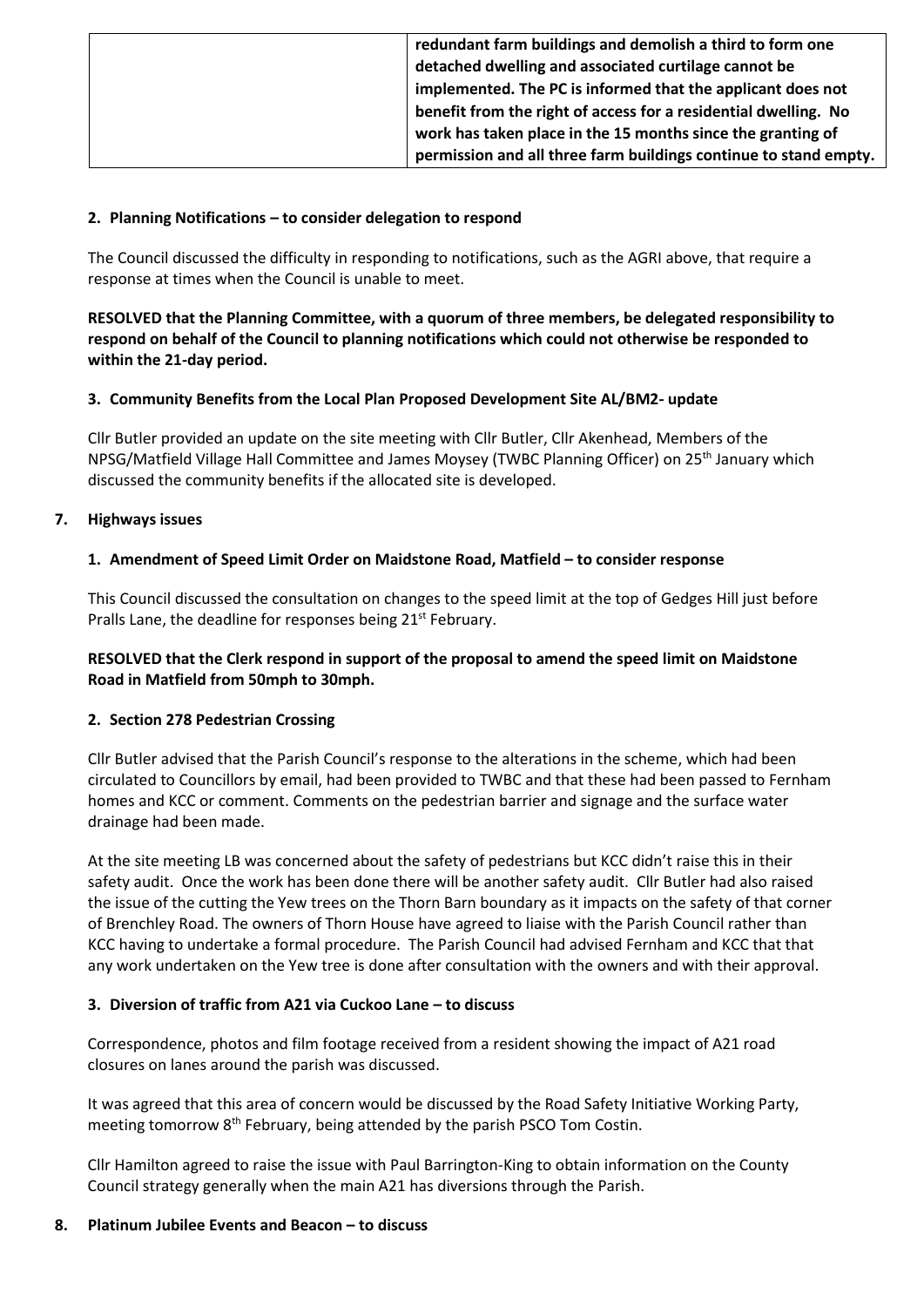| redundant farm buildings and demolish a third to form one        |
|------------------------------------------------------------------|
| detached dwelling and associated curtilage cannot be             |
| implemented. The PC is informed that the applicant does not      |
| benefit from the right of access for a residential dwelling. No  |
| work has taken place in the 15 months since the granting of      |
| permission and all three farm buildings continue to stand empty. |

## **2. Planning Notifications – to consider delegation to respond**

The Council discussed the difficulty in responding to notifications, such as the AGRI above, that require a response at times when the Council is unable to meet.

**RESOLVED that the Planning Committee, with a quorum of three members, be delegated responsibility to respond on behalf of the Council to planning notifications which could not otherwise be responded to within the 21-day period.**

### **3. Community Benefits from the Local Plan Proposed Development Site AL/BM2- update**

Cllr Butler provided an update on the site meeting with Cllr Butler, Cllr Akenhead, Members of the NPSG/Matfield Village Hall Committee and James Moysey (TWBC Planning Officer) on 25<sup>th</sup> January which discussed the community benefits if the allocated site is developed.

### **7. Highways issues**

### **1. Amendment of Speed Limit Order on Maidstone Road, Matfield – to consider response**

This Council discussed the consultation on changes to the speed limit at the top of Gedges Hill just before Pralls Lane, the deadline for responses being 21<sup>st</sup> February.

# **RESOLVED that the Clerk respond in support of the proposal to amend the speed limit on Maidstone Road in Matfield from 50mph to 30mph.**

#### **2. Section 278 Pedestrian Crossing**

Cllr Butler advised that the Parish Council's response to the alterations in the scheme, which had been circulated to Councillors by email, had been provided to TWBC and that these had been passed to Fernham homes and KCC or comment. Comments on the pedestrian barrier and signage and the surface water drainage had been made.

At the site meeting LB was concerned about the safety of pedestrians but KCC didn't raise this in their safety audit. Once the work has been done there will be another safety audit. Cllr Butler had also raised the issue of the cutting the Yew trees on the Thorn Barn boundary as it impacts on the safety of that corner of Brenchley Road. The owners of Thorn House have agreed to liaise with the Parish Council rather than KCC having to undertake a formal procedure. The Parish Council had advised Fernham and KCC that that any work undertaken on the Yew tree is done after consultation with the owners and with their approval.

#### **3. Diversion of traffic from A21 via Cuckoo Lane – to discuss**

Correspondence, photos and film footage received from a resident showing the impact of A21 road closures on lanes around the parish was discussed.

It was agreed that this area of concern would be discussed by the Road Safety Initiative Working Party, meeting tomorrow 8<sup>th</sup> February, being attended by the parish PSCO Tom Costin.

Cllr Hamilton agreed to raise the issue with Paul Barrington-King to obtain information on the County Council strategy generally when the main A21 has diversions through the Parish.

#### **8. Platinum Jubilee Events and Beacon – to discuss**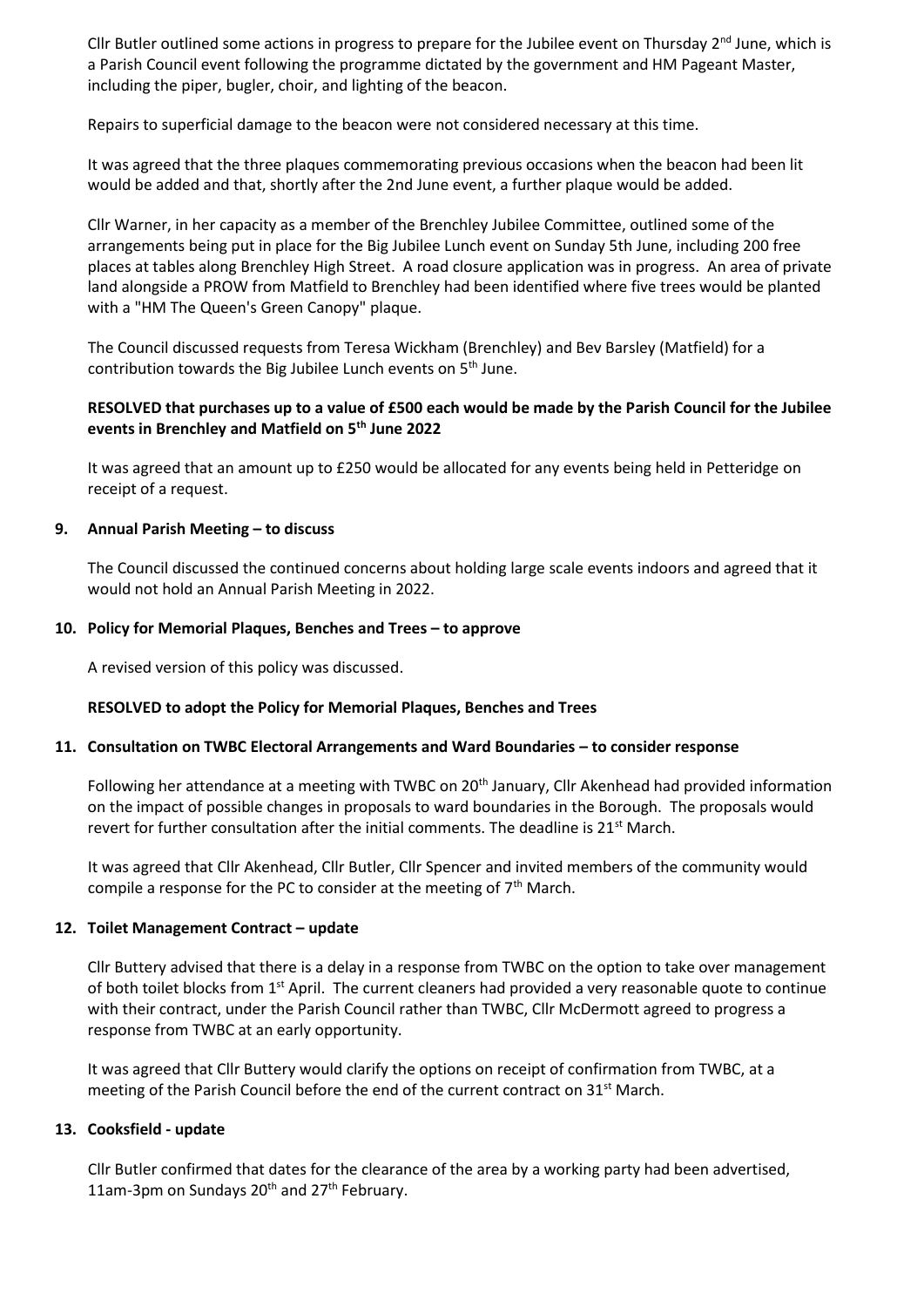Cllr Butler outlined some actions in progress to prepare for the Jubilee event on Thursday  $2<sup>nd</sup>$  June, which is a Parish Council event following the programme dictated by the government and HM Pageant Master, including the piper, bugler, choir, and lighting of the beacon.

Repairs to superficial damage to the beacon were not considered necessary at this time.

It was agreed that the three plaques commemorating previous occasions when the beacon had been lit would be added and that, shortly after the 2nd June event, a further plaque would be added.

Cllr Warner, in her capacity as a member of the Brenchley Jubilee Committee, outlined some of the arrangements being put in place for the Big Jubilee Lunch event on Sunday 5th June, including 200 free places at tables along Brenchley High Street. A road closure application was in progress. An area of private land alongside a PROW from Matfield to Brenchley had been identified where five trees would be planted with a "HM The Queen's Green Canopy" plaque.

The Council discussed requests from Teresa Wickham (Brenchley) and Bev Barsley (Matfield) for a contribution towards the Big Jubilee Lunch events on  $5<sup>th</sup>$  June.

### **RESOLVED that purchases up to a value of £500 each would be made by the Parish Council for the Jubilee events in Brenchley and Matfield on 5th June 2022**

It was agreed that an amount up to £250 would be allocated for any events being held in Petteridge on receipt of a request.

### **9. Annual Parish Meeting – to discuss**

The Council discussed the continued concerns about holding large scale events indoors and agreed that it would not hold an Annual Parish Meeting in 2022.

#### **10. Policy for Memorial Plaques, Benches and Trees – to approve**

A revised version of this policy was discussed.

#### **RESOLVED to adopt the Policy for Memorial Plaques, Benches and Trees**

#### **11. Consultation on TWBC Electoral Arrangements and Ward Boundaries – to consider response**

Following her attendance at a meeting with TWBC on 20<sup>th</sup> January, Cllr Akenhead had provided information on the impact of possible changes in proposals to ward boundaries in the Borough. The proposals would revert for further consultation after the initial comments. The deadline is  $21^{st}$  March.

It was agreed that Cllr Akenhead, Cllr Butler, Cllr Spencer and invited members of the community would compile a response for the PC to consider at the meeting of  $7<sup>th</sup>$  March.

#### **12. Toilet Management Contract – update**

Cllr Buttery advised that there is a delay in a response from TWBC on the option to take over management of both toilet blocks from  $1<sup>st</sup>$  April. The current cleaners had provided a very reasonable quote to continue with their contract, under the Parish Council rather than TWBC, Cllr McDermott agreed to progress a response from TWBC at an early opportunity.

It was agreed that Cllr Buttery would clarify the options on receipt of confirmation from TWBC, at a meeting of the Parish Council before the end of the current contract on  $31<sup>st</sup>$  March.

#### **13. Cooksfield - update**

Cllr Butler confirmed that dates for the clearance of the area by a working party had been advertised, 11am-3pm on Sundays  $20^{th}$  and  $27^{th}$  February.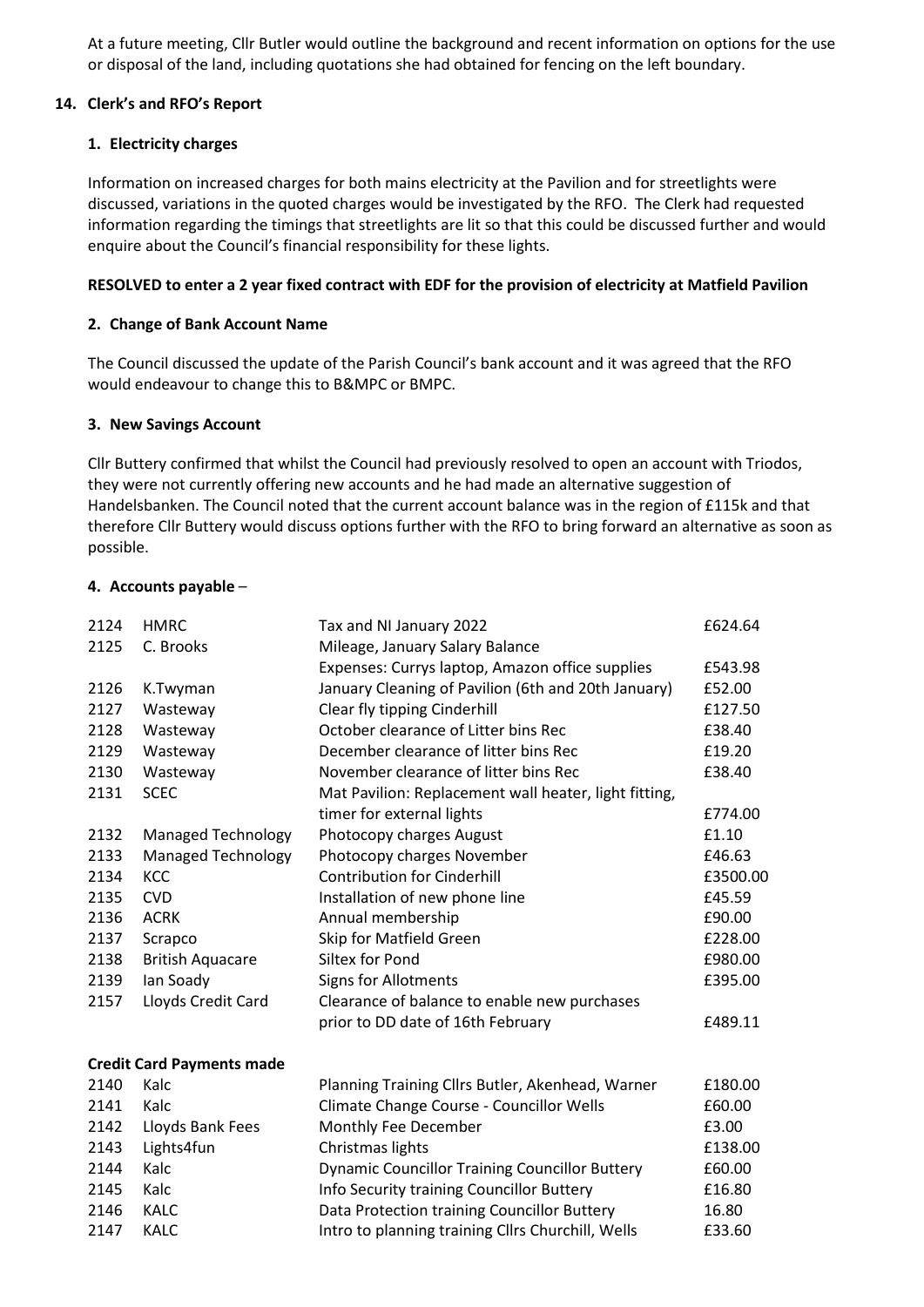At a future meeting, Cllr Butler would outline the background and recent information on options for the use or disposal of the land, including quotations she had obtained for fencing on the left boundary.

### **14. Clerk's and RFO's Report**

## **1. Electricity charges**

Information on increased charges for both mains electricity at the Pavilion and for streetlights were discussed, variations in the quoted charges would be investigated by the RFO. The Clerk had requested information regarding the timings that streetlights are lit so that this could be discussed further and would enquire about the Council's financial responsibility for these lights.

## **RESOLVED to enter a 2 year fixed contract with EDF for the provision of electricity at Matfield Pavilion**

### **2. Change of Bank Account Name**

The Council discussed the update of the Parish Council's bank account and it was agreed that the RFO would endeavour to change this to B&MPC or BMPC.

### **3. New Savings Account**

Cllr Buttery confirmed that whilst the Council had previously resolved to open an account with Triodos, they were not currently offering new accounts and he had made an alternative suggestion of Handelsbanken. The Council noted that the current account balance was in the region of £115k and that therefore Cllr Buttery would discuss options further with the RFO to bring forward an alternative as soon as possible.

### **4. Accounts payable** –

| 2124 | <b>HMRC</b>                      | Tax and NI January 2022                               | £624.64  |
|------|----------------------------------|-------------------------------------------------------|----------|
| 2125 | C. Brooks                        | Mileage, January Salary Balance                       |          |
|      |                                  | Expenses: Currys laptop, Amazon office supplies       | £543.98  |
| 2126 | K.Twyman                         | January Cleaning of Pavilion (6th and 20th January)   | £52.00   |
| 2127 | Wasteway                         | Clear fly tipping Cinderhill                          | £127.50  |
| 2128 | Wasteway                         | October clearance of Litter bins Rec                  | £38.40   |
| 2129 | Wasteway                         | December clearance of litter bins Rec                 | £19.20   |
| 2130 | Wasteway                         | November clearance of litter bins Rec                 | £38.40   |
| 2131 | <b>SCEC</b>                      | Mat Pavilion: Replacement wall heater, light fitting, |          |
|      |                                  | timer for external lights                             | £774.00  |
| 2132 | <b>Managed Technology</b>        | Photocopy charges August                              | £1.10    |
| 2133 | <b>Managed Technology</b>        | Photocopy charges November                            | £46.63   |
| 2134 | <b>KCC</b>                       | <b>Contribution for Cinderhill</b>                    | £3500.00 |
| 2135 | <b>CVD</b>                       | Installation of new phone line                        | £45.59   |
| 2136 | <b>ACRK</b>                      | Annual membership                                     | £90.00   |
| 2137 | Scrapco                          | Skip for Matfield Green                               | £228.00  |
| 2138 | <b>British Aquacare</b>          | Siltex for Pond                                       | £980.00  |
| 2139 | Ian Soady                        | <b>Signs for Allotments</b>                           | £395.00  |
| 2157 | Lloyds Credit Card               | Clearance of balance to enable new purchases          |          |
|      |                                  | prior to DD date of 16th February                     | £489.11  |
|      | <b>Credit Card Payments made</b> |                                                       |          |
| 2140 | Kalc                             | Planning Training Cllrs Butler, Akenhead, Warner      | £180.00  |
| 2141 | Kalc                             | Climate Change Course - Councillor Wells              | £60.00   |
| 2142 | Lloyds Bank Fees                 | Monthly Fee December                                  | £3.00    |
| 2143 | Lights4fun                       | Christmas lights                                      | £138.00  |
| 2144 | Kalc                             | <b>Dynamic Councillor Training Councillor Buttery</b> | £60.00   |
| 2145 | Kalc                             | Info Security training Councillor Buttery             | £16.80   |
| 2146 | <b>KALC</b>                      | Data Protection training Councillor Buttery           | 16.80    |
| 2147 | <b>KALC</b>                      | Intro to planning training Cllrs Churchill, Wells     | £33.60   |